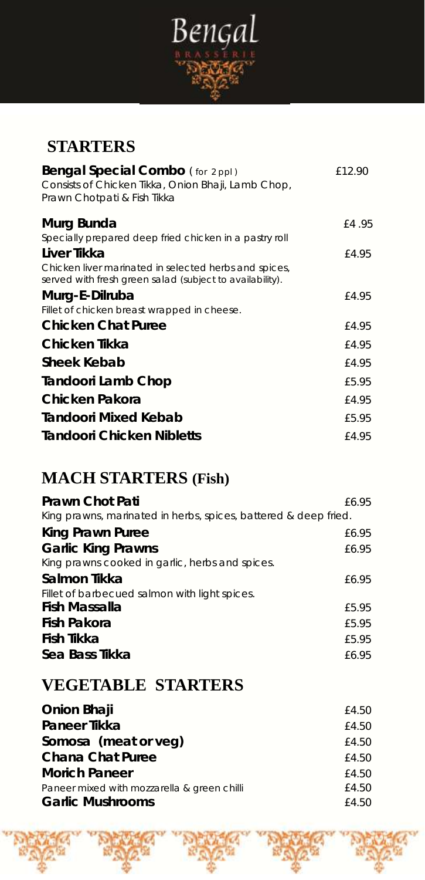

# **STARTERS**

| Bengal Special Combo (for 2 ppl)<br>Consists of Chicken Tikka, Onion Bhaji, Lamb Chop,<br>Prawn Chotpati & Fish Tikka | £12.90 |
|-----------------------------------------------------------------------------------------------------------------------|--------|
| Murg Bunda                                                                                                            | £4.95  |
| Specially prepared deep fried chicken in a pastry roll                                                                |        |
| Liver Tikka                                                                                                           | £4.95  |
| Chicken liver marinated in selected herbs and spices,<br>served with fresh green salad (subject to availability).     |        |
| Murg-E-Dilruba                                                                                                        | £4.95  |
| Fillet of chicken breast wrapped in cheese.                                                                           |        |
| Chicken Chat Puree                                                                                                    | £4.95  |
| Chicken Tikka                                                                                                         | £4.95  |
| Sheek Kebab                                                                                                           | £4.95  |
| Tandoori Lamb Chop                                                                                                    | £5.95  |
| Chicken Pakora                                                                                                        | £4.95  |
| Tandoori Mixed Kebab                                                                                                  | £5.95  |
| Tandoori Chicken Nibletts                                                                                             | £4.95  |

# **MACH STARTERS (Fish)**

| £6.95                                                           |
|-----------------------------------------------------------------|
| King prawns, marinated in herbs, spices, battered & deep fried. |
| £6.95                                                           |
| £6.95                                                           |
|                                                                 |
| £6.95                                                           |
|                                                                 |
| £5.95                                                           |
| £5.95                                                           |
| £5.95                                                           |
| £6.95                                                           |
|                                                                 |

# **VEGETABLE STARTERS**

| Onion Bhaji                                 | £4.50 |
|---------------------------------------------|-------|
| Paneer Tikka                                | £4.50 |
| Somosa (meat or veg)                        | £4.50 |
| Chana Chat Puree                            | f4.50 |
| <b>Morich Paneer</b>                        | f4.50 |
| Paneer mixed with mozzarella & green chilli | £4.50 |
| <b>Garlic Mushrooms</b>                     | £4.50 |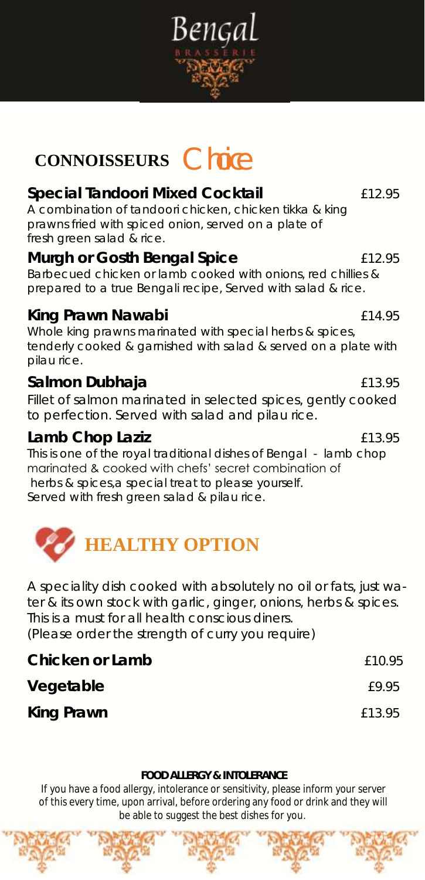

# **CONNOISSEURS** Choice

#### **Special Tandoori Mixed Cocktail** £12.95 A combination of tandoori chicken, chicken tikka & king

prawns fried with spiced onion, served on a plate of fresh green salad & rice.

**Murgh or Gosth Bengal Spice** £12.95 Barbecued chicken or lamb cooked with onions, red chillies & prepared to a true Bengali recipe, Served with salad & rice.

### **King Prawn Nawabi** £14.95

Whole king prawns marinated with special herbs & spices, tenderly cooked & garnished with salad & served on a plate with pilau rice.

### **Salmon Dubhaja** £13.95

Fillet of salmon marinated in selected spices, gently cooked to perfection. Served with salad and pilau rice.

### Lamb Chop Laziz **Election Chop Laziz**

This is one of the royal traditional dishes of Bengal - lamb chop marinated & cooked with chefs' secret combination of herbs & spices,a special treat to please yourself. Served with fresh green salad & pilau rice.



A speciality dish cooked with absolutely no oil or fats, just water & its own stock with garlic, ginger, onions, herbs & spices. This is a must for all health conscious diners. (Please order the strength of curry you require)

| Chicken or Lamb | £10.95 |
|-----------------|--------|
| Vegetable       | £9.95  |
| King Prawn      | £13.95 |

#### **FOOD ALLERGY & INTOLERANCE**

If you have a food allergy, intolerance or sensitivity, please inform your server of this every time, upon arrival, before ordering any food or drink and they will be able to suggest the best dishes for you.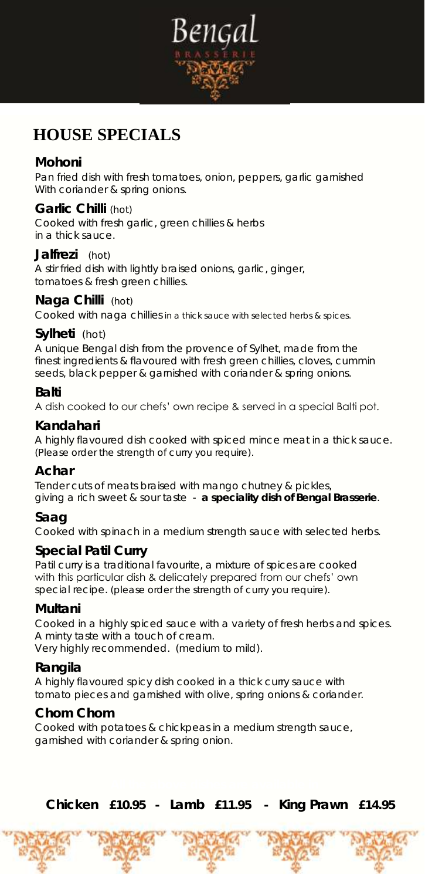

# **HOUSE SPECIALS**

#### **Mohoni**

Pan fried dish with fresh tomatoes, onion, peppers, garlic garnished With coriander & spring onions.

#### **Garlic Chilli** (hot)

Cooked with fresh garlic, green chillies & herbs in a thick sauce.

#### **Jalfrezi** (hot)

A stir fried dish with lightly braised onions, garlic, ginger, tomatoes & fresh green chillies.

#### **Naga Chilli** (hot)

Cooked with naga chillies in a thick sauce with selected herbs & spices.

#### **Sylheti** (hot)

A unique Bengal dish from the provence of Sylhet, made from the finest ingredients & flavoured with fresh green chillies, cloves, cummin seeds, black pepper & garnished with coriander & spring onions.

#### **Balti**

A dish cooked to our chefs' own recipe & served in a special Balti pot.

#### **Kandahari**

A highly flavoured dish cooked with spiced mince meat in a thick sauce. (Please order the strength of curry you require).

#### **Achar**

Tender cuts of meats braised with mango chutney & pickles, giving a rich sweet & sour taste - *a speciality dish of Bengal Brasserie*.

#### **Saag**

Cooked with spinach in a medium strength sauce with selected herbs.

#### **Special Patil Curry**

Patil curry is a traditional favourite, a mixture of spices are cooked with this particular dish & delicately prepared from our chefs' own special recipe. (please order the strength of curry you require).

#### **Multani**

Cooked in a highly spiced sauce with a variety of fresh herbs and spices. A minty taste with a touch of cream. Very highly recommended. (medium to mild).

#### **Rangila**

A highly flavoured spicy dish cooked in a thick curry sauce with tomato pieces and garnished with olive, spring onions & coriander.

#### **Chom Chom**

Cooked with potatoes & chickpeas in a medium strength sauce, garnished with coriander & spring onion.

 **Chicken £10.95 - Lamb £11.95 - King Prawn £14.95**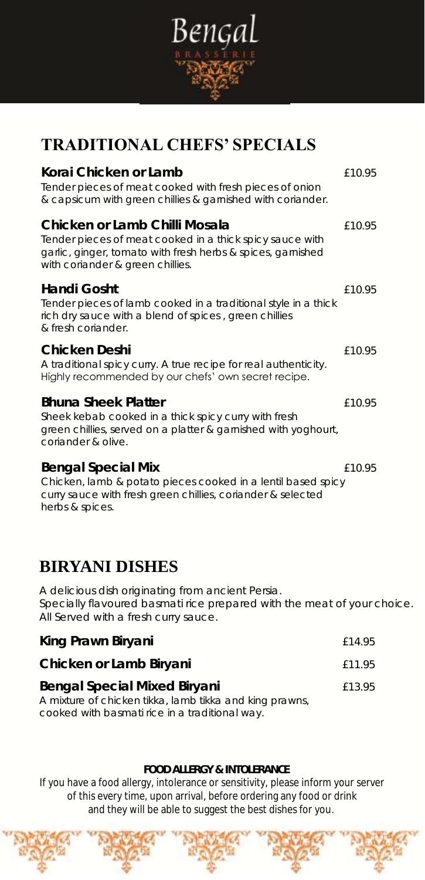

## **TRADITIONAL CHEFS' SPECIALS**

| Korai Chicken or Lamb<br>Tender pieces of meat cooked with fresh pieces of onion<br>& capsicum with green chillies & garnished with coriander.                                               | £10.95 |
|----------------------------------------------------------------------------------------------------------------------------------------------------------------------------------------------|--------|
| Chicken or Lamb Chilli Mosala<br>Tender pieces of meat cooked in a thick spicy sauce with<br>garlic, ginger, tomato with fresh herbs & spices, garnished<br>with coriander & green chillies. | £10.95 |
| Handi Gosht<br>Tender pieces of lamb cooked in a traditional style in a thick<br>rich dry sauce with a blend of spices, green chillies<br>& fresh coriander.                                 | £10.95 |
| Chicken Deshi<br>A traditional spicy curry. A true recipe for real authenticity.<br>Highly recommended by our chefs' own secret recipe.                                                      | £10.95 |
| <b>Bhuna Sheek Platter</b><br>Sheek kebab cooked in a thick spicy curry with fresh<br>green chillies, served on a platter & garnished with yoghourt,<br>coriander & olive.                   | £10.95 |
| <b>Bengal Special Mix</b><br>Chicken, lamb & potato pieces cooked in a lentil based spicy<br>curry sauce with fresh green chillies, coriander & selected<br>herbs & spices.                  | £10.95 |

### **BIRYANI DISHES**

A delicious dish originating from ancient Persia. Specially flavoured basmati rice prepared with the meat of your choice. All Served with a fresh curry sauce.

| King Prawn Biryani                                      | f 14.95 |
|---------------------------------------------------------|---------|
| Chicken or Lamb Biryani                                 | £11.95  |
| Bengal Special Mixed Biryani                            | £13.95  |
| A mixture of chicken tikka, lamb tikka and king prawns, |         |
| cooked with basmati rice in a traditional way.          |         |

#### **FOOD ALLERGY & INTOLERANCE**

If you have a food allergy, intolerance or sensitivity, please inform your server of this every time, upon arrival, before ordering any food or drink and they will be able to suggest the best dishes for you.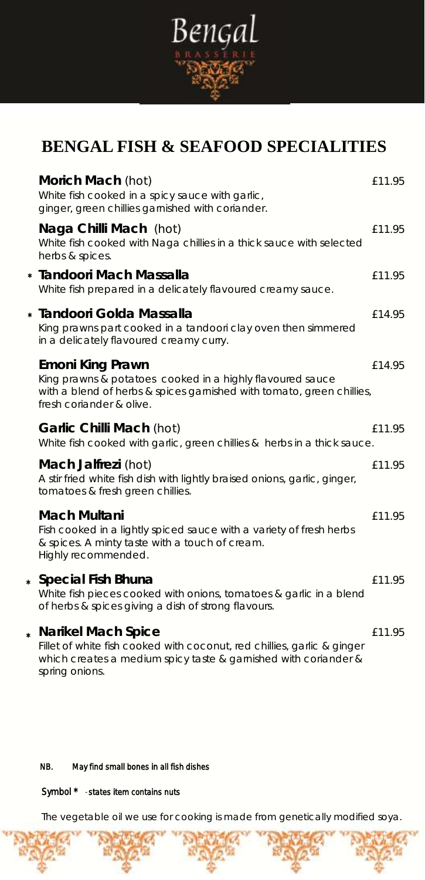

# **BENGAL FISH & SEAFOOD SPECIALITIES**

| Morich Mach (hot)<br>White fish cooked in a spicy sauce with garlic,<br>ginger, green chillies garnished with coriander.                                                           | £11.95 |
|------------------------------------------------------------------------------------------------------------------------------------------------------------------------------------|--------|
| Naga Chilli Mach (hot)<br>White fish cooked with Naga chillies in a thick sauce with selected<br>herbs & spices.                                                                   | £11.95 |
| * Tandoori Mach Massalla<br>White fish prepared in a delicately flavoured creamy sauce.                                                                                            | £11.95 |
| * Tandoori Golda Massalla<br>King prawns part cooked in a tandoori clay oven then simmered<br>in a delicately flavoured creamy curry.                                              | £14.95 |
| Emoni King Prawn<br>King prawns & potatoes cooked in a highly flavoured sauce<br>with a blend of herbs & spices garnished with tomato, green chillies,<br>fresh coriander & olive. | £14.95 |
| Garlic Chilli Mach (hot)<br>White fish cooked with garlic, green chillies & herbs in a thick sauce.                                                                                | £11.95 |
| Mach Jalfrezi (hot)<br>A stir fried white fish dish with lightly braised onions, garlic, ginger,<br>tomatoes & fresh green chillies.                                               | £11.95 |
| Mach Multani<br>Fish cooked in a lightly spiced sauce with a variety of fresh herbs<br>& spices. A minty taste with a touch of cream.<br>Highly recommended.                       | £11.95 |
| * Special Fish Bhuna<br>White fish pieces cooked with onions, tomatoes & garlic in a blend<br>of herbs & spices giving a dish of strong flavours.                                  | £11.95 |
| * Narikel Mach Spice<br>Fillet of white fish cooked with coconut, red chillies, garlic & ginger<br>which creates a medium spicy taste & garnished with coriander &                 | £11.95 |

spring onions.

#### NB. May find small bones in all fish dishes

### Symbol \* - states item contains nuts

The vegetable oil we use for cooking is made from genetically modified soya.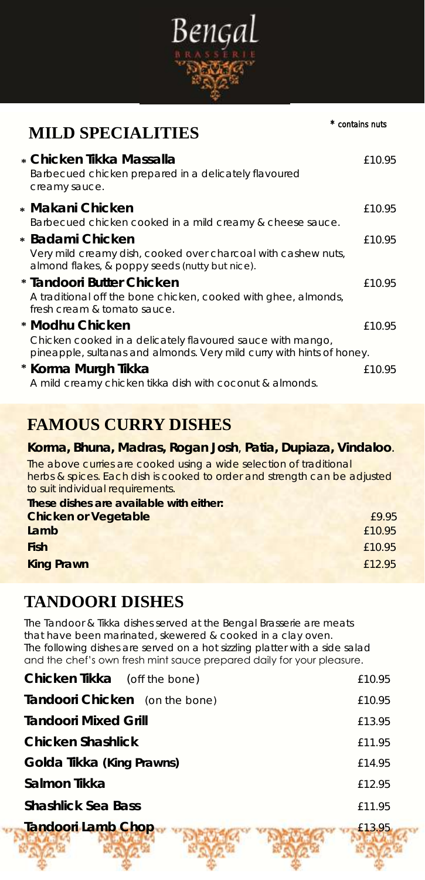

# **MILD SPECIALITIES**

| * Chicken Tikka Massalla<br>Barbecued chicken prepared in a delicately flavoured<br>creamy sauce.                                                      | £10.95 |
|--------------------------------------------------------------------------------------------------------------------------------------------------------|--------|
| * Makani Chicken<br>Barbecued chicken cooked in a mild creamy & cheese sauce.                                                                          | £10.95 |
| * Badami Chicken<br>Very mild creamy dish, cooked over charcoal with cashew nuts,<br>almond flakes, & poppy seeds (nutty but nice).                    | £10.95 |
| * Tandoori Butter Chicken<br>A traditional off the bone chicken, cooked with ghee, almonds,<br>fresh cream & tomato sauce.                             | £10.95 |
| * Modhu Chicken<br>Chicken cooked in a delicately flavoured sauce with mango,<br>pineapple, sultanas and almonds. Very mild curry with hints of honey. | £10.95 |
| * Korma Murgh Tikka<br>A mild creamy chicken tikka dish with coconut & almonds.                                                                        | £10.95 |

## **FAMOUS CURRY DISHES**

**Korma, Bhuna, Madras, Rogan Josh**, **Patia, Dupiaza, Vindaloo**. The above curries are cooked using a wide selection of traditional herbs & spices. Each dish is cooked to order and strength can be adjusted to suit individual requirements. **These dishes are available with either: Chicken or Vegetable E9.95 Lamb** £10.95 **Fish** £10.95 **King Prawn** £12.95

### **TANDOORI DISHES**

The Tandoor & Tikka dishes served at the Bengal Brasserie are meats that have been marinated, skewered & cooked in a clay oven. The following dishes are served on a hot sizzling platter with a side salad and the chef's own fresh mint sauce prepared daily for your pleasure.

| Chicken Tikka (off the bone)   | £10.95 |
|--------------------------------|--------|
| Tandoori Chicken (on the bone) | £10.95 |
| <b>Tandoori Mixed Grill</b>    | £13.95 |
| Chicken Shashlick              | £11.95 |
| Golda Tikka (King Prawns)      | £14.95 |
| Salmon Tikka                   | £12.95 |
| Shashlick Sea Bass             | £11.95 |
| Tandoori Lamb Chop             | E13.95 |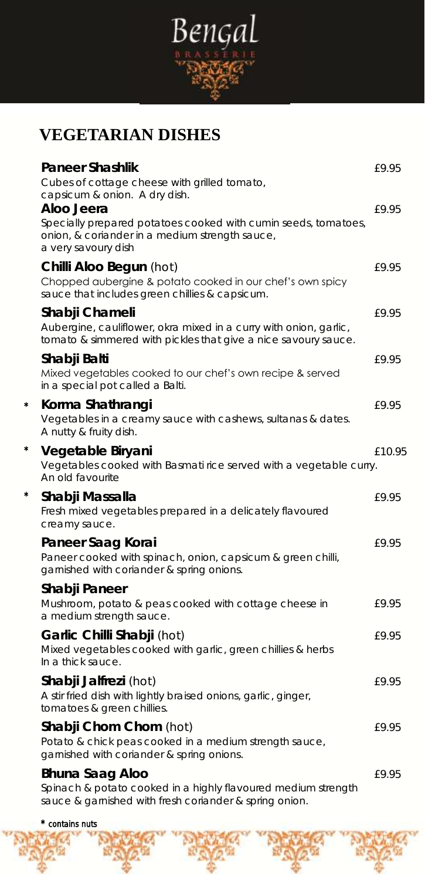

# **VEGETARIAN DISHES**

| Paneer Shashlik<br>Cubes of cottage cheese with grilled tomato,<br>capsicum & onion. A dry dish.                                                      | £9.95  |
|-------------------------------------------------------------------------------------------------------------------------------------------------------|--------|
| Aloo Jeera<br>Specially prepared potatoes cooked with cumin seeds, tomatoes,<br>onion, & coriander in a medium strength sauce,<br>a very savoury dish | £9.95  |
| Chilli Aloo Begun (hot)<br>Chopped aubergine & potato cooked in our chef's own spicy<br>sauce that includes green chillies & capsicum.                | £9.95  |
| Shabji Chameli<br>Aubergine, cauliflower, okra mixed in a curry with onion, garlic,<br>tomato & simmered with pickles that give a nice savoury sauce. | £9.95  |
| Shabji Balti<br>Mixed vegetables cooked to our chef's own recipe & served<br>in a special pot called a Balti.                                         | £9.95  |
| Korma Shathrangi<br>Vegetables in a creamy sauce with cashews, sultanas & dates.<br>A nutty & fruity dish.                                            | £9.95  |
| Vegetable Biryani<br>Vegetables cooked with Basmati rice served with a vegetable curry.<br>An old favourite                                           | £10.95 |
| Shabji Massalla<br>Fresh mixed vegetables prepared in a delicately flavoured<br>creamy sauce.                                                         | £9.95  |
| Paneer Saag Korai<br>Paneer cooked with spinach, onion, capsicum & green chilli,<br>garnished with coriander & spring onions.                         | £9.95  |
| Shabji Paneer<br>Mushroom, potato & peas cooked with cottage cheese in<br>a medium strength sauce.                                                    | £9.95  |
| Garlic Chilli Shabji (hot)<br>Mixed vegetables cooked with garlic, green chillies & herbs<br>In a thick sauce.                                        | £9.95  |
| Shabji Jalfrezi (hot)<br>A stir fried dish with lightly braised onions, garlic, ginger,<br>tomatoes & green chillies.                                 | £9.95  |
| Shabji Chom Chom (hot)<br>Potato & chick peas cooked in a medium strength sauce,<br>garnished with coriander & spring onions.                         | £9.95  |
| Bhuna Saag Aloo<br>Spinach & potato cooked in a highly flavoured medium strength<br>sauce & garnished with fresh coriander & spring onion.            | £9.95  |
|                                                                                                                                                       |        |

\* contains nuts

\*

\*

\*